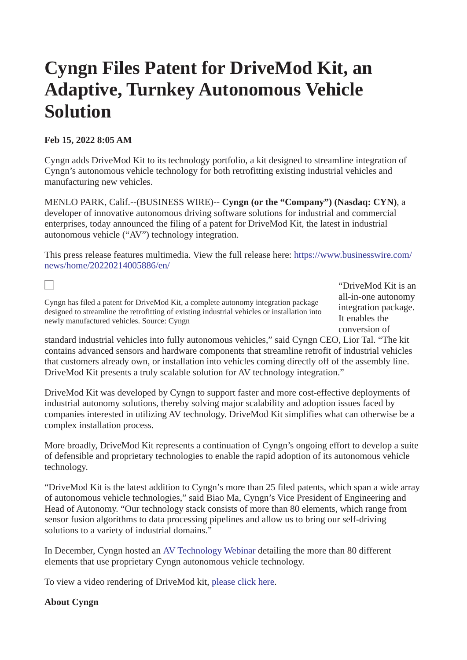# **Cyngn Files Patent for DriveMod Kit, an Adaptive, Turnkey Autonomous Vehicle Solution**

### **Feb 15, 2022 8:05 AM**

L

Cyngn adds DriveMod Kit to its technology portfolio, a kit designed to streamline integration of Cyngn's autonomous vehicle technology for both retrofitting existing industrial vehicles and manufacturing new vehicles.

MENLO PARK, Calif.--(BUSINESS WIRE)-- **Cyngn (or the "Company") (Nasdaq: CYN)**, a developer of innovative autonomous driving software solutions for industrial and commercial enterprises, today announced the filing of a patent for DriveMod Kit, the latest in industrial autonomous vehicle ("AV") technology integration.

This press release features multimedia. View the full release here: [https://www.businesswire.com/](https://www.businesswire.com/news/home/20220214005886/en/) [news/home/20220214005886/en/](https://www.businesswire.com/news/home/20220214005886/en/)

Cyngn has filed a patent for DriveMod Kit, a complete autonomy integration package designed to streamline the retrofitting of existing industrial vehicles or installation into newly manufactured vehicles. Source: Cyngn

"DriveMod Kit is an all-in-one autonomy integration package. It enables the conversion of

standard industrial vehicles into fully autonomous vehicles," said Cyngn CEO, Lior Tal. "The kit contains advanced sensors and hardware components that streamline retrofit of industrial vehicles that customers already own, or installation into vehicles coming directly off of the assembly line. DriveMod Kit presents a truly scalable solution for AV technology integration."

DriveMod Kit was developed by Cyngn to support faster and more cost-effective deployments of industrial autonomy solutions, thereby solving major scalability and adoption issues faced by companies interested in utilizing AV technology. DriveMod Kit simplifies what can otherwise be a complex installation process.

More broadly, DriveMod Kit represents a continuation of Cyngn's ongoing effort to develop a suite of defensible and proprietary technologies to enable the rapid adoption of its autonomous vehicle technology.

"DriveMod Kit is the latest addition to Cyngn's more than 25 filed patents, which span a wide array of autonomous vehicle technologies," said Biao Ma, Cyngn's Vice President of Engineering and Head of Autonomy. "Our technology stack consists of more than 80 elements, which range from sensor fusion algorithms to data processing pipelines and allow us to bring our self-driving solutions to a variety of industrial domains."

In December, Cyngn hosted an [AV Technology Webinar](https://cts.businesswire.com/ct/CT?id=smartlink&url=https%3A%2F%2Fwww.cyngn.com%2Fevents%2Fperiodic-table-of-autonomous-technology%3Futm_source%3Dcyngn%26utm_medium%3Dpr%26utm_campaign%3Ddrivemod-pr%26utm_id%3Ddrivemod&esheet=52579382&newsitemid=20220214005886&lan=en-US&anchor=AV+Technology+Webinar&index=1&md5=10534c1c3d5cb66e8e70c46be8f5dbd9) detailing the more than 80 different elements that use proprietary Cyngn autonomous vehicle technology.

To view a video rendering of DriveMod kit, [please click here.](https://cts.businesswire.com/ct/CT?id=smartlink&url=https%3A%2F%2Fwww.linkedin.com%2Ffeed%2Fupdate%2Furn%3Ali%3Aactivity%3A6892159213628465152%2F&esheet=52579382&newsitemid=20220214005886&lan=en-US&anchor=please+click+here&index=2&md5=da356a3ecd1ea0fda4752dca7f7369af)

#### **About Cyngn**